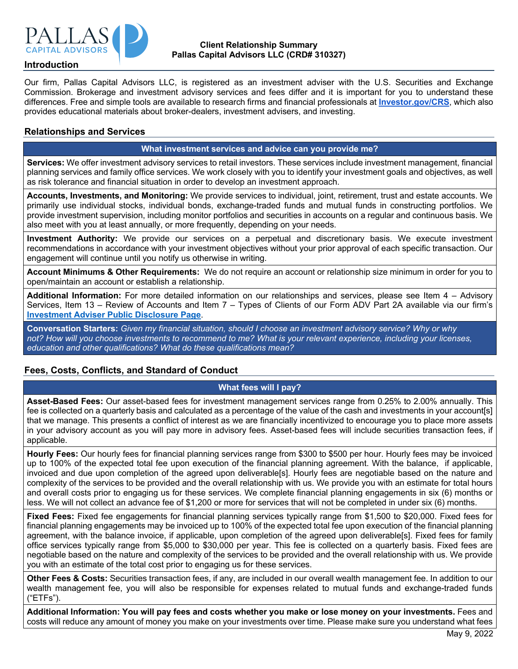

### **Introduction**

Our firm, Pallas Capital Advisors LLC, is registered as an investment adviser with the U.S. Securities and Exchange Commission. Brokerage and investment advisory services and fees differ and it is important for you to understand these differences. Free and simple tools are available to research firms and financial professionals at **Investor.gov/CRS**, which also provides educational materials about broker-dealers, investment advisers, and investing.

## **Relationships and Services**

**What investment services and advice can you provide me?**

**Services:** We offer investment advisory services to retail investors. These services include investment management, financial planning services and family office services. We work closely with you to identify your investment goals and objectives, as well as risk tolerance and financial situation in order to develop an investment approach.

**Accounts, Investments, and Monitoring:** We provide services to individual, joint, retirement, trust and estate accounts. We primarily use individual stocks, individual bonds, exchange-traded funds and mutual funds in constructing portfolios. We provide investment supervision, including monitor portfolios and securities in accounts on a regular and continuous basis. We also meet with you at least annually, or more frequently, depending on your needs.

**Investment Authority:** We provide our services on a perpetual and discretionary basis. We execute investment recommendations in accordance with your investment objectives without your prior approval of each specific transaction. Our engagement will continue until you notify us otherwise in writing.

**Account Minimums & Other Requirements:** We do not require an account or relationship size minimum in order for you to open/maintain an account or establish a relationship.

**Additional Information:** For more detailed information on our relationships and services, please see Item 4 – Advisory Services, Item 13 – Review of Accounts and Item 7 – Types of Clients of our Form ADV Part 2A available via our firm's **Investment Adviser Public Disclosure Page**.

**Conversation Starters:** *Given my financial situation, should I choose an investment advisory service? Why or why not? How will you choose investments to recommend to me? What is your relevant experience, including your licenses, education and other qualifications? What do these qualifications mean?*

## **Fees, Costs, Conflicts, and Standard of Conduct**

# **What fees will I pay?**

**Asset-Based Fees:** Our asset-based fees for investment management services range from 0.25% to 2.00% annually. This fee is collected on a quarterly basis and calculated as a percentage of the value of the cash and investments in your account[s] that we manage. This presents a conflict of interest as we are financially incentivized to encourage you to place more assets in your advisory account as you will pay more in advisory fees. Asset-based fees will include securities transaction fees, if applicable.

**Hourly Fees:** Our hourly fees for financial planning services range from \$300 to \$500 per hour. Hourly fees may be invoiced up to 100% of the expected total fee upon execution of the financial planning agreement. With the balance, if applicable, invoiced and due upon completion of the agreed upon deliverable[s]. Hourly fees are negotiable based on the nature and complexity of the services to be provided and the overall relationship with us. We provide you with an estimate for total hours and overall costs prior to engaging us for these services. We complete financial planning engagements in six (6) months or less. We will not collect an advance fee of \$1,200 or more for services that will not be completed in under six (6) months.

**Fixed Fees:** Fixed fee engagements for financial planning services typically range from \$1,500 to \$20,000. Fixed fees for financial planning engagements may be invoiced up to 100% of the expected total fee upon execution of the financial planning agreement, with the balance invoice, if applicable, upon completion of the agreed upon deliverable[s]. Fixed fees for family office services typically range from \$5,000 to \$30,000 per year. This fee is collected on a quarterly basis. Fixed fees are negotiable based on the nature and complexity of the services to be provided and the overall relationship with us. We provide you with an estimate of the total cost prior to engaging us for these services.

**Other Fees & Costs:** Securities transaction fees, if any, are included in our overall wealth management fee. In addition to our wealth management fee, you will also be responsible for expenses related to mutual funds and exchange-traded funds ("ETFs").

**Additional Information: You will pay fees and costs whether you make or lose money on your investments.** Fees and costs will reduce any amount of money you make on your investments over time. Please make sure you understand what fees